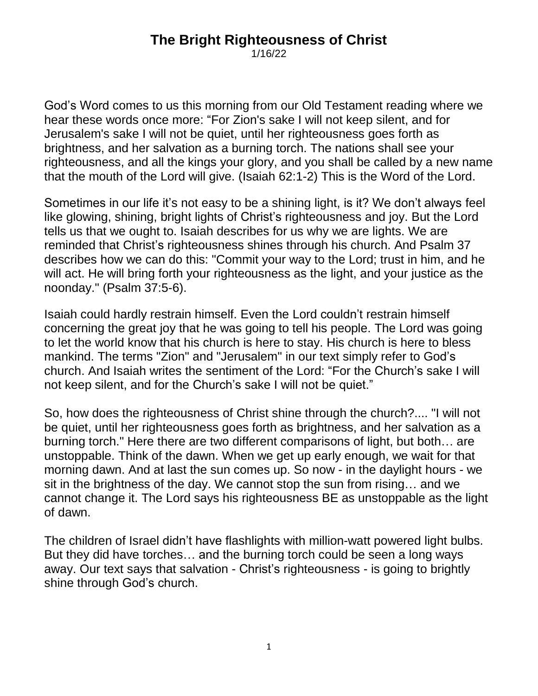## **The Bright Righteousness of Christ**

1/16/22

God's Word comes to us this morning from our Old Testament reading where we hear these words once more: "For Zion's sake I will not keep silent, and for Jerusalem's sake I will not be quiet, until her righteousness goes forth as brightness, and her salvation as a burning torch. The nations shall see your righteousness, and all the kings your glory, and you shall be called by a new name that the mouth of the Lord will give. (Isaiah 62:1-2) This is the Word of the Lord.

Sometimes in our life it's not easy to be a shining light, is it? We don't always feel like glowing, shining, bright lights of Christ's righteousness and joy. But the Lord tells us that we ought to. Isaiah describes for us why we are lights. We are reminded that Christ's righteousness shines through his church. And Psalm 37 describes how we can do this: "Commit your way to the Lord; trust in him, and he will act. He will bring forth your righteousness as the light, and your justice as the noonday." (Psalm 37:5-6).

Isaiah could hardly restrain himself. Even the Lord couldn't restrain himself concerning the great joy that he was going to tell his people. The Lord was going to let the world know that his church is here to stay. His church is here to bless mankind. The terms "Zion" and "Jerusalem" in our text simply refer to God's church. And Isaiah writes the sentiment of the Lord: "For the Church's sake I will not keep silent, and for the Church's sake I will not be quiet."

So, how does the righteousness of Christ shine through the church?.... "I will not be quiet, until her righteousness goes forth as brightness, and her salvation as a burning torch." Here there are two different comparisons of light, but both… are unstoppable. Think of the dawn. When we get up early enough, we wait for that morning dawn. And at last the sun comes up. So now - in the daylight hours - we sit in the brightness of the day. We cannot stop the sun from rising… and we cannot change it. The Lord says his righteousness BE as unstoppable as the light of dawn.

The children of Israel didn't have flashlights with million-watt powered light bulbs. But they did have torches… and the burning torch could be seen a long ways away. Our text says that salvation - Christ's righteousness - is going to brightly shine through God's church.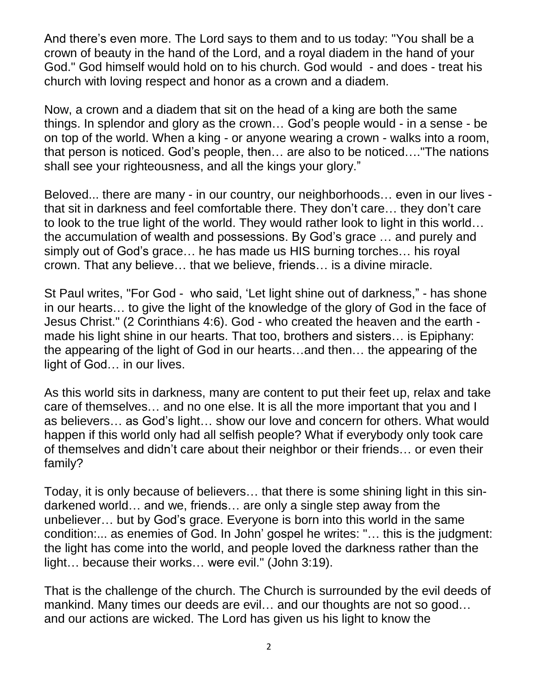And there's even more. The Lord says to them and to us today: "You shall be a crown of beauty in the hand of the Lord, and a royal diadem in the hand of your God." God himself would hold on to his church. God would - and does - treat his church with loving respect and honor as a crown and a diadem.

Now, a crown and a diadem that sit on the head of a king are both the same things. In splendor and glory as the crown… God's people would - in a sense - be on top of the world. When a king - or anyone wearing a crown - walks into a room, that person is noticed. God's people, then… are also to be noticed…."The nations shall see your righteousness, and all the kings your glory."

Beloved... there are many - in our country, our neighborhoods… even in our lives that sit in darkness and feel comfortable there. They don't care… they don't care to look to the true light of the world. They would rather look to light in this world… the accumulation of wealth and possessions. By God's grace … and purely and simply out of God's grace… he has made us HIS burning torches… his royal crown. That any believe… that we believe, friends… is a divine miracle.

St Paul writes, "For God - who said, 'Let light shine out of darkness," - has shone in our hearts… to give the light of the knowledge of the glory of God in the face of Jesus Christ." (2 Corinthians 4:6). God - who created the heaven and the earth made his light shine in our hearts. That too, brothers and sisters… is Epiphany: the appearing of the light of God in our hearts…and then… the appearing of the light of God… in our lives.

As this world sits in darkness, many are content to put their feet up, relax and take care of themselves… and no one else. It is all the more important that you and I as believers… as God's light… show our love and concern for others. What would happen if this world only had all selfish people? What if everybody only took care of themselves and didn't care about their neighbor or their friends… or even their family?

Today, it is only because of believers… that there is some shining light in this sindarkened world… and we, friends… are only a single step away from the unbeliever… but by God's grace. Everyone is born into this world in the same condition:... as enemies of God. In John' gospel he writes: "… this is the judgment: the light has come into the world, and people loved the darkness rather than the light… because their works… were evil." (John 3:19).

That is the challenge of the church. The Church is surrounded by the evil deeds of mankind. Many times our deeds are evil… and our thoughts are not so good… and our actions are wicked. The Lord has given us his light to know the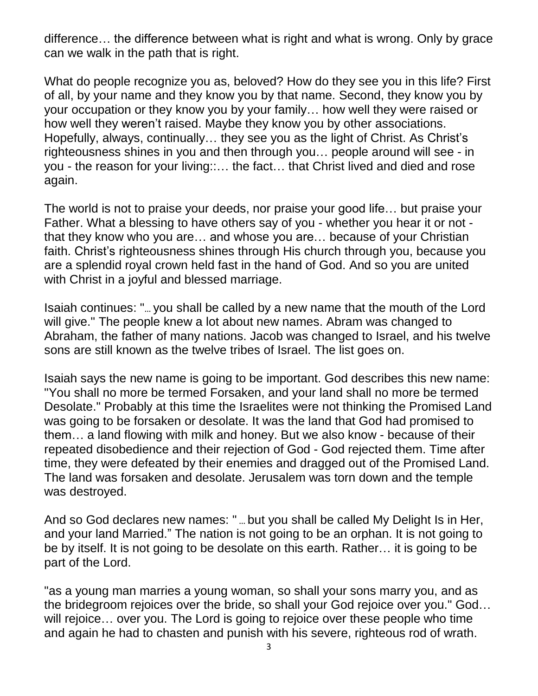difference… the difference between what is right and what is wrong. Only by grace can we walk in the path that is right.

What do people recognize you as, beloved? How do they see you in this life? First of all, by your name and they know you by that name. Second, they know you by your occupation or they know you by your family… how well they were raised or how well they weren't raised. Maybe they know you by other associations. Hopefully, always, continually… they see you as the light of Christ. As Christ's righteousness shines in you and then through you… people around will see - in you - the reason for your living::… the fact… that Christ lived and died and rose again.

The world is not to praise your deeds, nor praise your good life… but praise your Father. What a blessing to have others say of you - whether you hear it or not that they know who you are… and whose you are… because of your Christian faith. Christ's righteousness shines through His church through you, because you are a splendid royal crown held fast in the hand of God. And so you are united with Christ in a joyful and blessed marriage.

Isaiah continues: "… you shall be called by a new name that the mouth of the Lord will give." The people knew a lot about new names. Abram was changed to Abraham, the father of many nations. Jacob was changed to Israel, and his twelve sons are still known as the twelve tribes of Israel. The list goes on.

Isaiah says the new name is going to be important. God describes this new name: "You shall no more be termed Forsaken, and your land shall no more be termed Desolate." Probably at this time the Israelites were not thinking the Promised Land was going to be forsaken or desolate. It was the land that God had promised to them… a land flowing with milk and honey. But we also know - because of their repeated disobedience and their rejection of God - God rejected them. Time after time, they were defeated by their enemies and dragged out of the Promised Land. The land was forsaken and desolate. Jerusalem was torn down and the temple was destroyed.

And so God declares new names: " … but you shall be called My Delight Is in Her, and your land Married." The nation is not going to be an orphan. It is not going to be by itself. It is not going to be desolate on this earth. Rather… it is going to be part of the Lord.

"as a young man marries a young woman, so shall your sons marry you, and as the bridegroom rejoices over the bride, so shall your God rejoice over you." God… will rejoice… over you. The Lord is going to rejoice over these people who time and again he had to chasten and punish with his severe, righteous rod of wrath.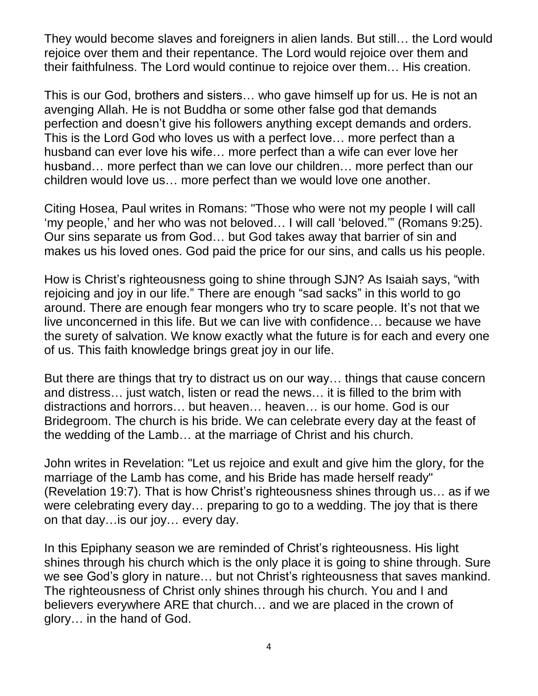They would become slaves and foreigners in alien lands. But still… the Lord would rejoice over them and their repentance. The Lord would rejoice over them and their faithfulness. The Lord would continue to rejoice over them… His creation.

This is our God, brothers and sisters… who gave himself up for us. He is not an avenging Allah. He is not Buddha or some other false god that demands perfection and doesn't give his followers anything except demands and orders. This is the Lord God who loves us with a perfect love… more perfect than a husband can ever love his wife… more perfect than a wife can ever love her husband… more perfect than we can love our children… more perfect than our children would love us… more perfect than we would love one another.

Citing Hosea, Paul writes in Romans: "Those who were not my people I will call 'my people,' and her who was not beloved… I will call 'beloved.'" (Romans 9:25). Our sins separate us from God… but God takes away that barrier of sin and makes us his loved ones. God paid the price for our sins, and calls us his people.

How is Christ's righteousness going to shine through SJN? As Isaiah says, "with rejoicing and joy in our life." There are enough "sad sacks" in this world to go around. There are enough fear mongers who try to scare people. It's not that we live unconcerned in this life. But we can live with confidence… because we have the surety of salvation. We know exactly what the future is for each and every one of us. This faith knowledge brings great joy in our life.

But there are things that try to distract us on our way… things that cause concern and distress… just watch, listen or read the news… it is filled to the brim with distractions and horrors… but heaven… heaven… is our home. God is our Bridegroom. The church is his bride. We can celebrate every day at the feast of the wedding of the Lamb… at the marriage of Christ and his church.

John writes in Revelation: "Let us rejoice and exult and give him the glory, for the marriage of the Lamb has come, and his Bride has made herself ready" (Revelation 19:7). That is how Christ's righteousness shines through us… as if we were celebrating every day… preparing to go to a wedding. The joy that is there on that day…is our joy… every day.

In this Epiphany season we are reminded of Christ's righteousness. His light shines through his church which is the only place it is going to shine through. Sure we see God's glory in nature… but not Christ's righteousness that saves mankind. The righteousness of Christ only shines through his church. You and I and believers everywhere ARE that church… and we are placed in the crown of glory… in the hand of God.